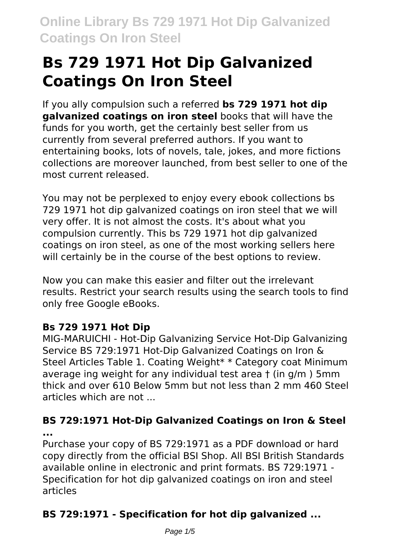# **Bs 729 1971 Hot Dip Galvanized Coatings On Iron Steel**

If you ally compulsion such a referred **bs 729 1971 hot dip galvanized coatings on iron steel** books that will have the funds for you worth, get the certainly best seller from us currently from several preferred authors. If you want to entertaining books, lots of novels, tale, jokes, and more fictions collections are moreover launched, from best seller to one of the most current released.

You may not be perplexed to enjoy every ebook collections bs 729 1971 hot dip galvanized coatings on iron steel that we will very offer. It is not almost the costs. It's about what you compulsion currently. This bs 729 1971 hot dip galvanized coatings on iron steel, as one of the most working sellers here will certainly be in the course of the best options to review.

Now you can make this easier and filter out the irrelevant results. Restrict your search results using the search tools to find only free Google eBooks.

## **Bs 729 1971 Hot Dip**

MIG-MARUICHI - Hot-Dip Galvanizing Service Hot-Dip Galvanizing Service BS 729:1971 Hot-Dip Galvanized Coatings on Iron & Steel Articles Table 1. Coating Weight\* \* Category coat Minimum average ing weight for any individual test area † (in g/m ) 5mm thick and over 610 Below 5mm but not less than 2 mm 460 Steel articles which are not ...

**BS 729:1971 Hot-Dip Galvanized Coatings on Iron & Steel ...**

Purchase your copy of BS 729:1971 as a PDF download or hard copy directly from the official BSI Shop. All BSI British Standards available online in electronic and print formats. BS 729:1971 - Specification for hot dip galvanized coatings on iron and steel articles

## **BS 729:1971 - Specification for hot dip galvanized ...**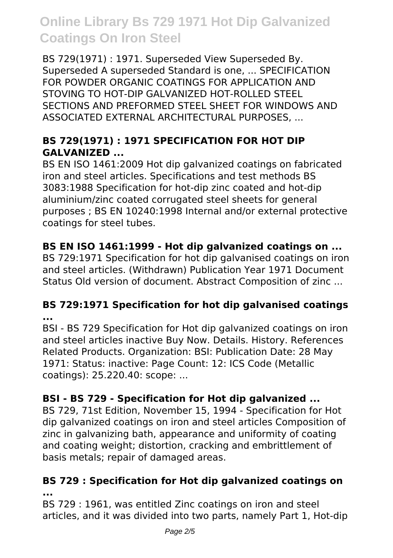BS 729(1971) : 1971. Superseded View Superseded By. Superseded A superseded Standard is one, ... SPECIFICATION FOR POWDER ORGANIC COATINGS FOR APPLICATION AND STOVING TO HOT-DIP GALVANIZED HOT-ROLLED STEEL SECTIONS AND PREFORMED STEEL SHEET FOR WINDOWS AND ASSOCIATED EXTERNAL ARCHITECTURAL PURPOSES, ...

### **BS 729(1971) : 1971 SPECIFICATION FOR HOT DIP GALVANIZED ...**

BS EN ISO 1461:2009 Hot dip galvanized coatings on fabricated iron and steel articles. Specifications and test methods BS 3083:1988 Specification for hot-dip zinc coated and hot-dip aluminium/zinc coated corrugated steel sheets for general purposes ; BS EN 10240:1998 Internal and/or external protective coatings for steel tubes.

### **BS EN ISO 1461:1999 - Hot dip galvanized coatings on ...**

BS 729:1971 Specification for hot dip galvanised coatings on iron and steel articles. (Withdrawn) Publication Year 1971 Document Status Old version of document. Abstract Composition of zinc ...

#### **BS 729:1971 Specification for hot dip galvanised coatings ...**

BSI - BS 729 Specification for Hot dip galvanized coatings on iron and steel articles inactive Buy Now. Details. History. References Related Products. Organization: BSI: Publication Date: 28 May 1971: Status: inactive: Page Count: 12: ICS Code (Metallic coatings): 25.220.40: scope: ...

### **BSI - BS 729 - Specification for Hot dip galvanized ...**

BS 729, 71st Edition, November 15, 1994 - Specification for Hot dip galvanized coatings on iron and steel articles Composition of zinc in galvanizing bath, appearance and uniformity of coating and coating weight; distortion, cracking and embrittlement of basis metals; repair of damaged areas.

#### **BS 729 : Specification for Hot dip galvanized coatings on ...**

BS 729 : 1961, was entitled Zinc coatings on iron and steel articles, and it was divided into two parts, namely Part 1, Hot-dip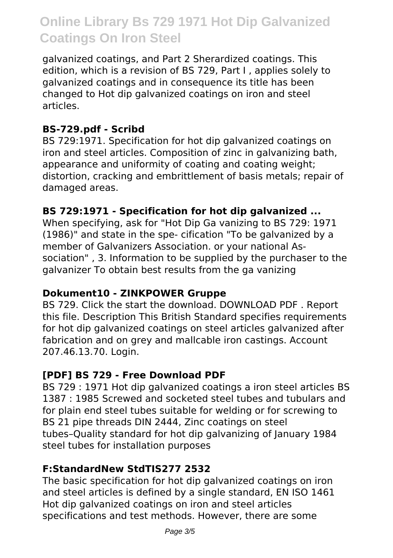galvanized coatings, and Part 2 Sherardized coatings. This edition, which is a revision of BS 729, Part I , applies solely to galvanized coatings and in consequence its title has been changed to Hot dip galvanized coatings on iron and steel articles.

#### **BS-729.pdf - Scribd**

BS 729:1971. Specification for hot dip galvanized coatings on iron and steel articles. Composition of zinc in galvanizing bath, appearance and uniformity of coating and coating weight; distortion, cracking and embrittlement of basis metals; repair of damaged areas.

#### **BS 729:1971 - Specification for hot dip galvanized ...**

When specifying, ask for "Hot Dip Ga vanizing to BS 729: 1971 (1986)" and state in the spe- cification "To be galvanized by a member of Galvanizers Association. or your national Association" , 3. Information to be supplied by the purchaser to the galvanizer To obtain best results from the ga vanizing

#### **Dokument10 - ZINKPOWER Gruppe**

BS 729. Click the start the download. DOWNLOAD PDF . Report this file. Description This British Standard specifies requirements for hot dip galvanized coatings on steel articles galvanized after fabrication and on grey and mallcable iron castings. Account 207.46.13.70. Login.

#### **[PDF] BS 729 - Free Download PDF**

BS 729 : 1971 Hot dip galvanized coatings a iron steel articles BS 1387 : 1985 Screwed and socketed steel tubes and tubulars and for plain end steel tubes suitable for welding or for screwing to BS 21 pipe threads DIN 2444, Zinc coatings on steel tubes–Quality standard for hot dip galvanizing of January 1984 steel tubes for installation purposes

#### **F:StandardNew StdTIS277 2532**

The basic specification for hot dip galvanized coatings on iron and steel articles is defined by a single standard, EN ISO 1461 Hot dip galvanized coatings on iron and steel articles specifications and test methods. However, there are some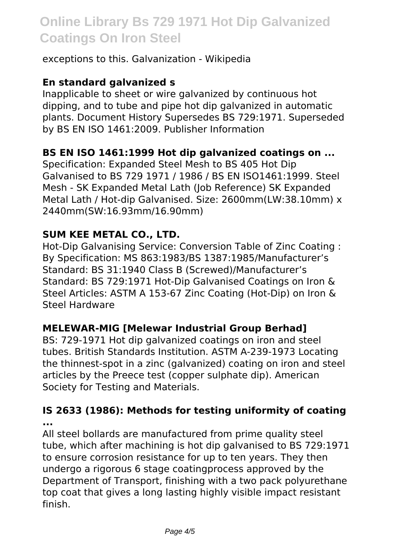exceptions to this. Galvanization - Wikipedia

#### **En standard galvanized s**

Inapplicable to sheet or wire galvanized by continuous hot dipping, and to tube and pipe hot dip galvanized in automatic plants. Document History Supersedes BS 729:1971. Superseded by BS EN ISO 1461:2009. Publisher Information

#### **BS EN ISO 1461:1999 Hot dip galvanized coatings on ...**

Specification: Expanded Steel Mesh to BS 405 Hot Dip Galvanised to BS 729 1971 / 1986 / BS EN ISO1461:1999. Steel Mesh - SK Expanded Metal Lath (Job Reference) SK Expanded Metal Lath / Hot-dip Galvanised. Size: 2600mm(LW:38.10mm) x 2440mm(SW:16.93mm/16.90mm)

#### **SUM KEE METAL CO., LTD.**

Hot-Dip Galvanising Service: Conversion Table of Zinc Coating : By Specification: MS 863:1983/BS 1387:1985/Manufacturer's Standard: BS 31:1940 Class B (Screwed)/Manufacturer's Standard: BS 729:1971 Hot-Dip Galvanised Coatings on Iron & Steel Articles: ASTM A 153-67 Zinc Coating (Hot-Dip) on Iron & Steel Hardware

#### **MELEWAR-MIG [Melewar Industrial Group Berhad]**

BS: 729-1971 Hot dip galvanized coatings on iron and steel tubes. British Standards Institution. ASTM A-239-1973 Locating the thinnest-spot in a zinc (galvanized) coating on iron and steel articles by the Preece test (copper sulphate dip). American Society for Testing and Materials.

#### **IS 2633 (1986): Methods for testing uniformity of coating ...**

All steel bollards are manufactured from prime quality steel tube, which after machining is hot dip galvanised to BS 729:1971 to ensure corrosion resistance for up to ten years. They then undergo a rigorous 6 stage coatingprocess approved by the Department of Transport, finishing with a two pack polyurethane top coat that gives a long lasting highly visible impact resistant finish.